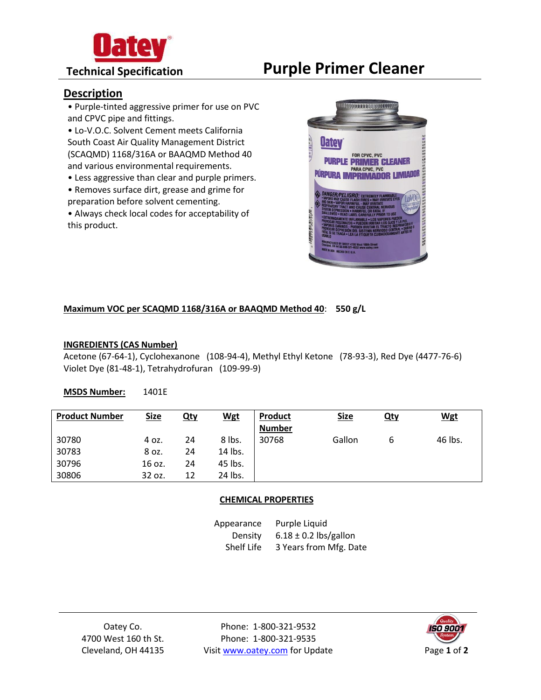

# **Technical Specification Purple Primer Cleaner**

# **Description**

- Purple-tinted aggressive primer for use on PVC and CPVC pipe and fittings.
- Lo-V.O.C. Solvent Cement meets California South Coast Air Quality Management District (SCAQMD) 1168/316A or BAAQMD Method 40 and various environmental requirements.
- Less aggressive than clear and purple primers.
- Removes surface dirt, grease and grime for preparation before solvent cementing.
- Always check local codes for acceptability of this product.



### **Maximum VOC per SCAQMD 1168/316A or BAAQMD Method 40**: **550 g/L**

### **INGREDIENTS (CAS Number)**

Acetone (67-64-1), Cyclohexanone (108-94-4), Methyl Ethyl Ketone (78-93-3), Red Dye (4477-76-6) Violet Dye (81-48-1), Tetrahydrofuran (109-99-9)

#### **MSDS Number:** 1401E

| <b>Product Number</b> | <b>Size</b> | Qty | <u>Wgt</u> | Product<br><b>Number</b> | <b>Size</b> | <u>Qty</u> | <u>Wgt</u> |
|-----------------------|-------------|-----|------------|--------------------------|-------------|------------|------------|
| 30780                 | 4 oz.       | 24  | 8 lbs.     | 30768                    | Gallon      | ь          | 46 lbs.    |
| 30783                 | 8 oz.       | 24  | 14 lbs.    |                          |             |            |            |
| 30796                 | 16 oz.      | 24  | 45 lbs.    |                          |             |            |            |
| 30806                 | 32 oz.      | 12  | 24 lbs.    |                          |             |            |            |

#### **CHEMICAL PROPERTIES**

Appearance Density Shelf Life Purple Liquid  $6.18 \pm 0.2$  lbs/gallon 3 Years from Mfg. Date